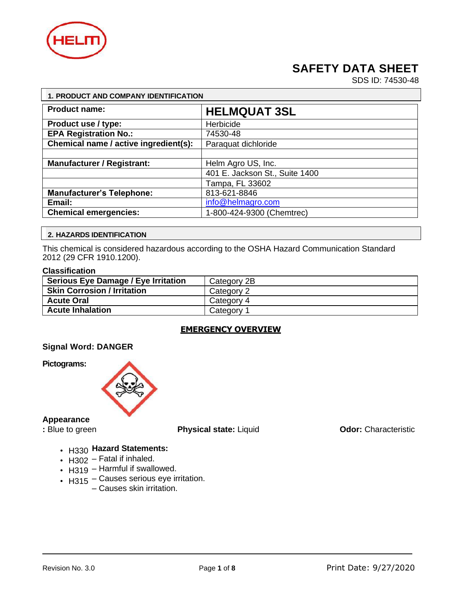

# **SAFETY DATA SHEET**

SDS ID: 74530-48

| 1. PRODUCT AND COMPANY IDENTIFICATION |                                |  |
|---------------------------------------|--------------------------------|--|
| <b>Product name:</b>                  | <b>HELMQUAT 3SL</b>            |  |
| Product use / type:                   | Herbicide                      |  |
| <b>EPA Registration No.:</b>          | 74530-48                       |  |
| Chemical name / active ingredient(s): | Paraquat dichloride            |  |
|                                       |                                |  |
| <b>Manufacturer / Registrant:</b>     | Helm Agro US, Inc.             |  |
|                                       | 401 E. Jackson St., Suite 1400 |  |
|                                       | Tampa, FL 33602                |  |
| <b>Manufacturer's Telephone:</b>      | 813-621-8846                   |  |
| Email:                                | info@helmagro.com              |  |
| <b>Chemical emergencies:</b>          | 1-800-424-9300 (Chemtrec)      |  |

#### **2. HAZARDS IDENTIFICATION**

This chemical is considered hazardous according to the OSHA Hazard Communication Standard 2012 (29 CFR 1910.1200).

#### **Classification**

| <b>Serious Eye Damage / Eye Irritation</b> | Category 2B |
|--------------------------------------------|-------------|
| <b>Skin Corrosion / Irritation</b>         | Category 2  |
| <b>Acute Oral</b>                          | Category 4  |
| <b>Acute Inhalation</b>                    | Category 1  |

#### **EMERGENCY OVERVIEW**

#### **Signal Word: DANGER**

**Pictograms:**



#### **Appearance**

**:** Blue to green **Physical state:** Liquid **Odor:** Characteristic

- H330 **Hazard Statements:**
- H302 Fatal if inhaled.
- H319 Harmful if swallowed.
- H315 Causes serious eye irritation.
	- Causes skin irritation.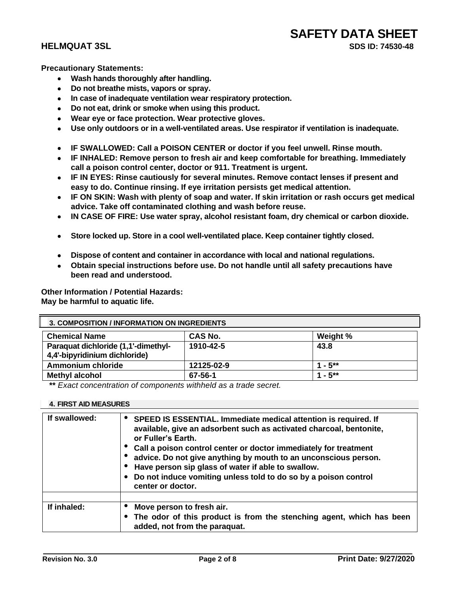**Precautionary Statements:**

- **Wash hands thoroughly after handling.**
- **Do not breathe mists, vapors or spray.**
- **In case of inadequate ventilation wear respiratory protection.**
- **Do not eat, drink or smoke when using this product.**
- **Wear eye or face protection. Wear protective gloves.**
- **Use only outdoors or in a well-ventilated areas. Use respirator if ventilation is inadequate.**
- **IF SWALLOWED: Call a POISON CENTER or doctor if you feel unwell. Rinse mouth.**
- **IF INHALED: Remove person to fresh air and keep comfortable for breathing. Immediately call a poison control center, doctor or 911. Treatment is urgent.**
- **IF IN EYES: Rinse cautiously for several minutes. Remove contact lenses if present and easy to do. Continue rinsing. If eye irritation persists get medical attention.**
- **IF ON SKIN: Wash with plenty of soap and water. If skin irritation or rash occurs get medical advice. Take off contaminated clothing and wash before reuse.**
- **IN CASE OF FIRE: Use water spray, alcohol resistant foam, dry chemical or carbon dioxide.**
- **Store locked up. Store in a cool well-ventilated place. Keep container tightly closed.**
- **Dispose of content and container in accordance with local and national regulations.**
- **Obtain special instructions before use. Do not handle until all safety precautions have been read and understood.**

**Other Information / Potential Hazards: May be harmful to aquatic life.**

| <b>3. COMPOSITION / INFORMATION ON INGREDIENTS</b>                   |                |           |
|----------------------------------------------------------------------|----------------|-----------|
| <b>Chemical Name</b>                                                 | <b>CAS No.</b> | Weight %  |
| Paraquat dichloride (1,1'-dimethyl-<br>4,4'-bipyridinium dichloride) | 1910-42-5      | 43.8      |
| <b>Ammonium chloride</b>                                             | 12125-02-9     | $1 - 5**$ |
| <b>Methyl alcohol</b>                                                | 67-56-1        | $1 - 5**$ |

**\*\*** *Exact concentration of components withheld as a trade secret.*

#### **4. FIRST AID MEASURES**

| If swallowed: | SPEED IS ESSENTIAL. Immediate medical attention is required. If<br>available, give an adsorbent such as activated charcoal, bentonite,<br>or Fuller's Earth.<br>Call a poison control center or doctor immediately for treatment<br>advice. Do not give anything by mouth to an unconscious person.<br>Have person sip glass of water if able to swallow.<br>Do not induce vomiting unless told to do so by a poison control<br>center or doctor. |
|---------------|---------------------------------------------------------------------------------------------------------------------------------------------------------------------------------------------------------------------------------------------------------------------------------------------------------------------------------------------------------------------------------------------------------------------------------------------------|
| If inhaled:   | Move person to fresh air.<br>The odor of this product is from the stenching agent, which has been<br>added, not from the paraquat.                                                                                                                                                                                                                                                                                                                |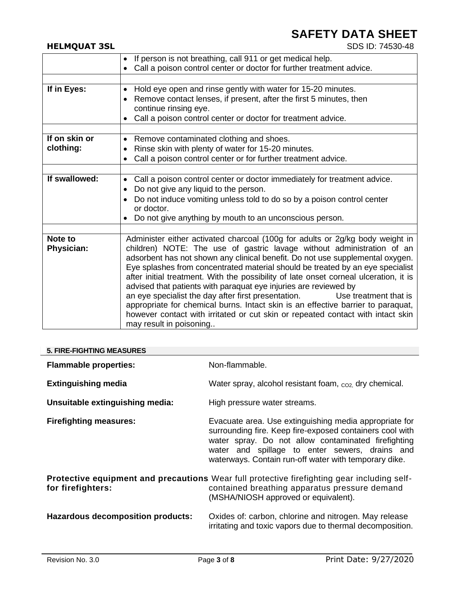# **SAFETY DATA SHEET**<br>
SDS ID: 74530-48

### **HELMQUAT 3SL**

|                            | If person is not breathing, call 911 or get medical help.<br>$\bullet$                                                                                                                                                                                                                                                                                                                                                                                                                                                                                                                                                                                                                                                                                                    |
|----------------------------|---------------------------------------------------------------------------------------------------------------------------------------------------------------------------------------------------------------------------------------------------------------------------------------------------------------------------------------------------------------------------------------------------------------------------------------------------------------------------------------------------------------------------------------------------------------------------------------------------------------------------------------------------------------------------------------------------------------------------------------------------------------------------|
|                            | Call a poison control center or doctor for further treatment advice.<br>$\bullet$                                                                                                                                                                                                                                                                                                                                                                                                                                                                                                                                                                                                                                                                                         |
| If in Eyes:                | Hold eye open and rinse gently with water for 15-20 minutes.<br>$\bullet$<br>Remove contact lenses, if present, after the first 5 minutes, then<br>$\bullet$<br>continue rinsing eye.<br>Call a poison control center or doctor for treatment advice.<br>$\bullet$                                                                                                                                                                                                                                                                                                                                                                                                                                                                                                        |
| If on skin or<br>clothing: | Remove contaminated clothing and shoes.<br>$\bullet$<br>Rinse skin with plenty of water for 15-20 minutes.<br>٠<br>Call a poison control center or for further treatment advice.<br>$\bullet$                                                                                                                                                                                                                                                                                                                                                                                                                                                                                                                                                                             |
| If swallowed:              | Call a poison control center or doctor immediately for treatment advice.<br>٠<br>Do not give any liquid to the person.<br>$\bullet$<br>Do not induce vomiting unless told to do so by a poison control center<br>$\bullet$<br>or doctor.<br>Do not give anything by mouth to an unconscious person.<br>$\bullet$                                                                                                                                                                                                                                                                                                                                                                                                                                                          |
| Note to<br>Physician:      | Administer either activated charcoal (100g for adults or 2g/kg body weight in<br>children) NOTE: The use of gastric lavage without administration of an<br>adsorbent has not shown any clinical benefit. Do not use supplemental oxygen.<br>Eye splashes from concentrated material should be treated by an eye specialist<br>after initial treatment. With the possibility of late onset corneal ulceration, it is<br>advised that patients with paraquat eye injuries are reviewed by<br>an eye specialist the day after first presentation.<br>Use treatment that is<br>appropriate for chemical burns. Intact skin is an effective barrier to paraquat,<br>however contact with irritated or cut skin or repeated contact with intact skin<br>may result in poisoning |

#### **5. FIRE-FIGHTING MEASURES**

| <b>Flammable properties:</b>                                                                                                                                                                              | Non-flammable.                                                                                                                                                                                                                                                                       |
|-----------------------------------------------------------------------------------------------------------------------------------------------------------------------------------------------------------|--------------------------------------------------------------------------------------------------------------------------------------------------------------------------------------------------------------------------------------------------------------------------------------|
| <b>Extinguishing media</b>                                                                                                                                                                                | Water spray, alcohol resistant foam, co <sub>2</sub> dry chemical.                                                                                                                                                                                                                   |
| Unsuitable extinguishing media:                                                                                                                                                                           | High pressure water streams.                                                                                                                                                                                                                                                         |
| <b>Firefighting measures:</b>                                                                                                                                                                             | Evacuate area. Use extinguishing media appropriate for<br>surrounding fire. Keep fire-exposed containers cool with<br>water spray. Do not allow contaminated firefighting<br>water and spillage to enter sewers, drains and<br>waterways. Contain run-off water with temporary dike. |
| Protective equipment and precautions Wear full protective firefighting gear including self-<br>for firefighters:<br>contained breathing apparatus pressure demand<br>(MSHA/NIOSH approved or equivalent). |                                                                                                                                                                                                                                                                                      |
| Hazardous decomposition products:                                                                                                                                                                         | Oxides of: carbon, chlorine and nitrogen. May release<br>irritating and toxic vapors due to thermal decomposition.                                                                                                                                                                   |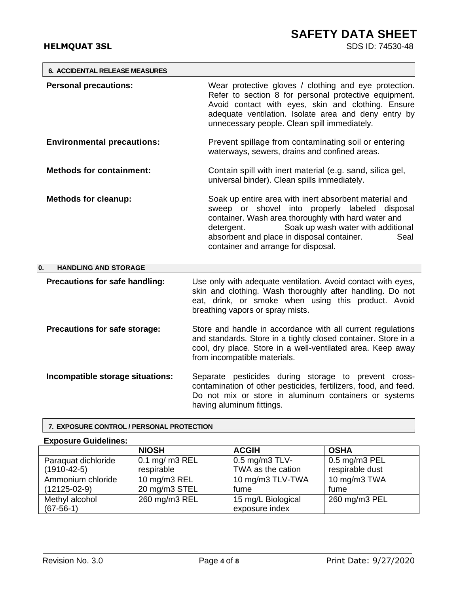### **HELMQUAT 3SL**

| <b>6. ACCIDENTAL RELEASE MEASURES</b> |                                                                                                                                                                                                                                                                                                                    |
|---------------------------------------|--------------------------------------------------------------------------------------------------------------------------------------------------------------------------------------------------------------------------------------------------------------------------------------------------------------------|
| <b>Personal precautions:</b>          | Wear protective gloves / clothing and eye protection.<br>Refer to section 8 for personal protective equipment.<br>Avoid contact with eyes, skin and clothing. Ensure<br>adequate ventilation. Isolate area and deny entry by<br>unnecessary people. Clean spill immediately.                                       |
| <b>Environmental precautions:</b>     | Prevent spillage from contaminating soil or entering<br>waterways, sewers, drains and confined areas.                                                                                                                                                                                                              |
| <b>Methods for containment:</b>       | Contain spill with inert material (e.g. sand, silica gel,<br>universal binder). Clean spills immediately.                                                                                                                                                                                                          |
| <b>Methods for cleanup:</b>           | Soak up entire area with inert absorbent material and<br>sweep or shovel into<br>properly labeled disposal<br>container. Wash area thoroughly with hard water and<br>Soak up wash water with additional<br>detergent.<br>absorbent and place in disposal container.<br>Seal<br>container and arrange for disposal. |
| 0.<br><b>HANDLING AND STORAGE</b>     |                                                                                                                                                                                                                                                                                                                    |
| Precautions for safe handling:        | Use only with adequate ventilation. Avoid contact with eyes,<br>skin and clothing. Wash thoroughly after handling. Do not<br>eat, drink, or smoke when using this product. Avoid<br>breathing vapors or spray mists.                                                                                               |
| Precautions for safe storage:         | Store and handle in accordance with all current regulations<br>and standards. Store in a tightly closed container. Store in a<br>cool, dry place. Store in a well-ventilated area. Keep away<br>from incompatible materials.                                                                                       |
| Incompatible storage situations:      | Separate pesticides during storage to prevent cross-<br>contamination of other pesticides, fertilizers, food, and feed.<br>Do not mix or store in aluminum containers or systems<br>having aluminum fittings.                                                                                                      |

#### **7. EXPOSURE CONTROL / PERSONAL PROTECTION**

### **Exposure Guidelines:**

|                     | <b>NIOSH</b>    | <b>ACGIH</b>        | <b>OSHA</b>     |
|---------------------|-----------------|---------------------|-----------------|
| Paraquat dichloride | $0.1$ mg/m3 REL | $0.5$ mg/m $3$ TLV- | $0.5$ mg/m3 PEL |
| $(1910 - 42 - 5)$   | respirable      | TWA as the cation   | respirable dust |
| Ammonium chloride   | 10 mg/m3 REL    | 10 mg/m3 TLV-TWA    | 10 mg/m3 TWA    |
| $(12125-02-9)$      | 20 mg/m3 STEL   | fume                | fume            |
| Methyl alcohol      | 260 mg/m3 REL   | 15 mg/L Biological  | 260 mg/m3 PEL   |
| $(67-56-1)$         |                 | exposure index      |                 |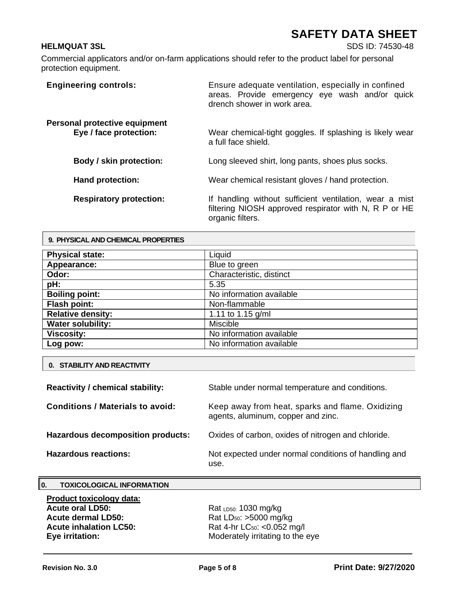### **HELMQUAT 3SL** SDS ID: 74530-48

Commercial applicators and/or on-farm applications should refer to the product label for personal protection equipment.

| <b>Engineering controls:</b>                            | Ensure adequate ventilation, especially in confined<br>areas. Provide emergency eye wash and/or quick<br>drench shower in work area. |
|---------------------------------------------------------|--------------------------------------------------------------------------------------------------------------------------------------|
| Personal protective equipment<br>Eye / face protection: | Wear chemical-tight goggles. If splashing is likely wear<br>a full face shield.                                                      |
| Body / skin protection:                                 | Long sleeved shirt, long pants, shoes plus socks.                                                                                    |
| <b>Hand protection:</b>                                 | Wear chemical resistant gloves / hand protection.                                                                                    |
| <b>Respiratory protection:</b>                          | If handling without sufficient ventilation, wear a mist<br>filtering NIOSH approved respirator with N, R P or HE<br>organic filters. |

| 9. PHYSICAL AND CHEMICAL PROPERTIES |                          |  |
|-------------------------------------|--------------------------|--|
| <b>Physical state:</b>              | Liquid                   |  |
| Appearance:                         | Blue to green            |  |
| Odor:                               | Characteristic, distinct |  |
| pH:                                 | 5.35                     |  |
| <b>Boiling point:</b>               | No information available |  |
| <b>Flash point:</b>                 | Non-flammable            |  |
| <b>Relative density:</b>            | 1.11 to 1.15 $q/ml$      |  |
| <b>Water solubility:</b>            | <b>Miscible</b>          |  |
| <b>Viscosity:</b>                   | No information available |  |
| Log pow:                            | No information available |  |

|  |  | <b>0. STABILITY AND REACTIVITY</b> |
|--|--|------------------------------------|
|--|--|------------------------------------|

**9. PHYSICAL AND CHEMICAL PROPERTIES**

| <b>Reactivity / chemical stability:</b> | Stable under normal temperature and conditions.                                        |
|-----------------------------------------|----------------------------------------------------------------------------------------|
| <b>Conditions / Materials to avoid:</b> | Keep away from heat, sparks and flame. Oxidizing<br>agents, aluminum, copper and zinc. |
| Hazardous decomposition products:       | Oxides of carbon, oxides of nitrogen and chloride.                                     |
| <b>Hazardous reactions:</b>             | Not expected under normal conditions of handling and<br>use.                           |

### **0. TOXICOLOGICAL INFORMATION**

**Product toxicology data:**  Acute dermal LD50: Rat LD<sub>50</sub>: >5000 mg/kg **Acute inhalation LC50:** Rat 4-hr LC<sub>50</sub>: <0.052 mg/l

Rat LD50: 1030 mg/kg **Eye irritation:** Moderately irritating to the eye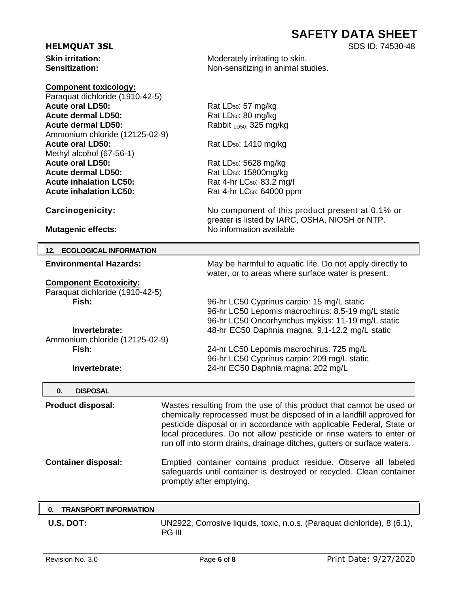## **SAFETY DATA SHEET**

| <b>HELMQUAT 3SL</b> | SDS ID: 74530-48 |
|---------------------|------------------|
|---------------------|------------------|

| <b>HELMQUAT 3SL</b> |  |  |
|---------------------|--|--|
|---------------------|--|--|

**Skin irritation:** Moderately irritating to skin. Sensitization: **Non-sensitizing in animal studies.** Non-sensitizing in animal studies. **Component toxicology:**  Paraquat dichloride (1910-42-5)

| <b>Acute oral LD50:</b>                                              | Rat LD <sub>50</sub> : 57 mg/kg                                         |
|----------------------------------------------------------------------|-------------------------------------------------------------------------|
| <b>Acute dermal LD50:</b>                                            | Rat LD <sub>50</sub> : 80 mg/kg                                         |
| <b>Acute dermal LD50:</b>                                            | Rabbit LD50: 325 mg/kg                                                  |
| Ammonium chloride (12125-02-9)                                       |                                                                         |
| <b>Acute oral LD50:</b>                                              | Rat LD <sub>50</sub> : 1410 mg/kg                                       |
| Methyl alcohol (67-56-1)                                             |                                                                         |
| <b>Acute oral LD50:</b>                                              | Rat LD <sub>50</sub> : 5628 mg/kg                                       |
| <b>Acute dermal LD50:</b>                                            | Rat LD <sub>50</sub> : 15800mg/kg                                       |
| <b>Acute inhalation LC50:</b>                                        | Rat 4-hr LC <sub>50</sub> : 83.2 mg/l                                   |
| <b>Acute inhalation LC50:</b>                                        | Rat 4-hr LC <sub>50</sub> : 64000 ppm                                   |
| Carcinogenicity:                                                     | No component of this product present at 0.1% or                         |
|                                                                      | greater is listed by IARC, OSHA, NIOSH or NTP.                          |
| <b>Mutagenic effects:</b>                                            | No information available                                                |
| 12. ECOLOGICAL INFORMATION                                           |                                                                         |
| <b>Environmental Hazards:</b>                                        | May be harmful to aquatic life. Do not apply directly to                |
|                                                                      | water, or to areas where surface water is present.                      |
| <b>Component Ecotoxicity:</b>                                        |                                                                         |
| Paraquat dichloride (1910-42-5)                                      |                                                                         |
| Fish:                                                                | 96-hr LC50 Cyprinus carpio: 15 mg/L static                              |
|                                                                      | 96-hr LC50 Lepomis macrochirus: 8.5-19 mg/L static                      |
|                                                                      | 96-hr LC50 Oncorhynchus mykiss: 11-19 mg/L static                       |
| Invertebrate:                                                        | 48-hr EC50 Daphnia magna: 9.1-12.2 mg/L static                          |
| Ammonium chloride (12125-02-9)                                       |                                                                         |
| Fish:                                                                | 24-hr LC50 Lepomis macrochirus: 725 mg/L                                |
|                                                                      | 96-hr LC50 Cyprinus carpio: 209 mg/L static                             |
| Invertebrate:                                                        | 24-hr EC50 Daphnia magna: 202 mg/L                                      |
| 0.<br><b>DISPOSAL</b>                                                |                                                                         |
| <b>Product disposal:</b>                                             | Wastes resulting from the use of this product that cannot be used or    |
|                                                                      | chemically reprocessed must be disposed of in a landfill approved for   |
|                                                                      | pesticide disposal or in accordance with applicable Federal, State or   |
|                                                                      | local procedures. Do not allow pesticide or rinse waters to enter or    |
|                                                                      | run off into storm drains, drainage ditches, gutters or surface waters. |
| <b>Container disposal:</b>                                           | Emptied container contains product residue. Observe all labeled         |
| safeguards until container is destroyed or recycled. Clean container |                                                                         |
|                                                                      | promptly after emptying.                                                |
|                                                                      |                                                                         |

|  | 0. TRANSPORT INFORMATION |                                                                                           |
|--|--------------------------|-------------------------------------------------------------------------------------------|
|  | U.S. DOT:                | UN2922, Corrosive liquids, toxic, n.o.s. (Paraquat dichloride), 8 (6.1),<br><b>PG III</b> |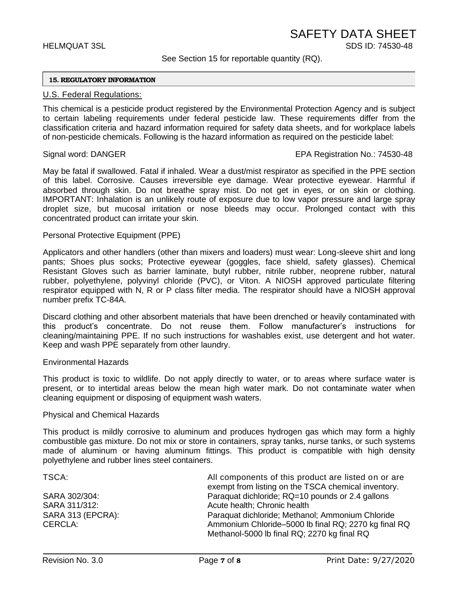#### See Section 15 for reportable quantity (RQ).

#### **15. REGULATORY INFORMATION**

#### U.S. Federal Regulations:

This chemical is a pesticide product registered by the Environmental Protection Agency and is subject to certain labeling requirements under federal pesticide law. These requirements differ from the classification criteria and hazard information required for safety data sheets, and for workplace labels of non-pesticide chemicals. Following is the hazard information as required on the pesticide label:

#### Signal word: DANGER EPA Registration No.: 74530-48

May be fatal if swallowed. Fatal if inhaled. Wear a dust/mist respirator as specified in the PPE section of this label. Corrosive. Causes irreversible eye damage. Wear protective eyewear. Harmful if absorbed through skin. Do not breathe spray mist. Do not get in eyes, or on skin or clothing. IMPORTANT: Inhalation is an unlikely route of exposure due to low vapor pressure and large spray droplet size, but mucosal irritation or nose bleeds may occur. Prolonged contact with this concentrated product can irritate your skin.

#### Personal Protective Equipment (PPE)

Applicators and other handlers (other than mixers and loaders) must wear: Long-sleeve shirt and long pants; Shoes plus socks; Protective eyewear (goggles, face shield, safety glasses). Chemical Resistant Gloves such as barrier laminate, butyl rubber, nitrile rubber, neoprene rubber, natural rubber, polyethylene, polyvinyl chloride (PVC), or Viton. A NIOSH approved particulate filtering respirator equipped with N, R or P class filter media. The respirator should have a NIOSH approval number prefix TC-84A.

Discard clothing and other absorbent materials that have been drenched or heavily contaminated with this product's concentrate. Do not reuse them. Follow manufacturer's instructions for cleaning/maintaining PPE. If no such instructions for washables exist, use detergent and hot water. Keep and wash PPE separately from other laundry.

#### Environmental Hazards

This product is toxic to wildlife. Do not apply directly to water, or to areas where surface water is present, or to intertidal areas below the mean high water mark. Do not contaminate water when cleaning equipment or disposing of equipment wash waters.

#### Physical and Chemical Hazards

This product is mildly corrosive to aluminum and produces hydrogen gas which may form a highly combustible gas mixture. Do not mix or store in containers, spray tanks, nurse tanks, or such systems made of aluminum or having aluminum fittings. This product is compatible with high density polyethylene and rubber lines steel containers.

| All components of this product are listed on or are<br>exempt from listing on the TSCA chemical inventory. |
|------------------------------------------------------------------------------------------------------------|
| Paraquat dichloride; RQ=10 pounds or 2.4 gallons                                                           |
| Acute health; Chronic health                                                                               |
| Paraquat dichloride; Methanol; Ammonium Chloride                                                           |
| Ammonium Chloride-5000 lb final RQ; 2270 kg final RQ                                                       |
| Methanol-5000 lb final RQ; 2270 kg final RQ                                                                |
|                                                                                                            |